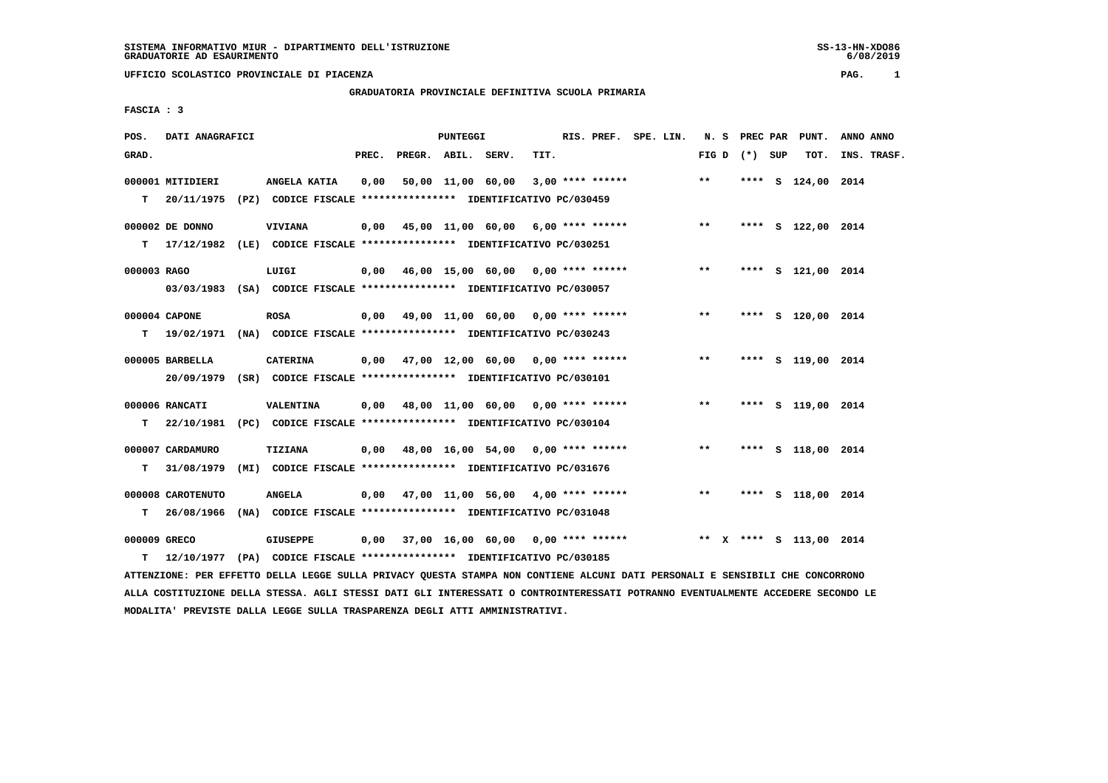## **GRADUATORIA PROVINCIALE DEFINITIVA SCUOLA PRIMARIA**

 **FASCIA : 3**

| POS.         | DATI ANAGRAFICI   |                                                                           |       |                    | <b>PUNTEGGI</b> |                                           |      |  | RIS. PREF. SPE. LIN.                      |       |                 | N. S PREC PAR PUNT.     | ANNO ANNO   |
|--------------|-------------------|---------------------------------------------------------------------------|-------|--------------------|-----------------|-------------------------------------------|------|--|-------------------------------------------|-------|-----------------|-------------------------|-------------|
| GRAD.        |                   |                                                                           | PREC. | PREGR. ABIL. SERV. |                 |                                           | TIT. |  |                                           |       | FIG D $(*)$ SUP | TOT.                    | INS. TRASF. |
|              | 000001 MITIDIERI  | ANGELA KATIA                                                              | 0,00  |                    |                 | 50,00 11,00 60,00                         |      |  | $3,00$ **** ******                        | $***$ | ****            | S 124,00 2014           |             |
| T.           | 20/11/1975        | (PZ) CODICE FISCALE **************** IDENTIFICATIVO PC/030459             |       |                    |                 |                                           |      |  |                                           |       |                 |                         |             |
|              | 000002 DE DONNO   | <b>VIVIANA</b>                                                            |       |                    |                 | $0,00$ 45,00 11,00 60,00 6,00 **** ****** |      |  |                                           | $***$ |                 | **** S 122,00 2014      |             |
|              |                   | T 17/12/1982 (LE) CODICE FISCALE *************** IDENTIFICATIVO PC/030251 |       |                    |                 |                                           |      |  |                                           |       |                 |                         |             |
| 000003 RAGO  |                   | LUIGI                                                                     |       |                    |                 | $0,00$ 46,00 15,00 60,00 0,00 **** ****** |      |  |                                           | $***$ |                 | **** S 121,00 2014      |             |
|              |                   | 03/03/1983 (SA) CODICE FISCALE *************** IDENTIFICATIVO PC/030057   |       |                    |                 |                                           |      |  |                                           |       |                 |                         |             |
|              | 000004 CAPONE     | <b>ROSA</b>                                                               |       |                    |                 | 0,00 49,00 11,00 60,00 0,00 **** ******   |      |  |                                           | $***$ |                 | **** S 120,00 2014      |             |
|              |                   | T 19/02/1971 (NA) CODICE FISCALE *************** IDENTIFICATIVO PC/030243 |       |                    |                 |                                           |      |  |                                           |       |                 |                         |             |
|              | 000005 BARBELLA   | <b>CATERINA</b>                                                           |       |                    |                 |                                           |      |  | $0,00$ 47,00 12,00 60,00 0,00 **** ****** | $***$ |                 | **** S 119,00 2014      |             |
|              |                   | 20/09/1979 (SR) CODICE FISCALE *************** IDENTIFICATIVO PC/030101   |       |                    |                 |                                           |      |  |                                           |       |                 |                         |             |
|              | 000006 RANCATI    | VALENTINA                                                                 |       |                    |                 | $0,00$ 48,00 11,00 60,00 0,00 **** ****** |      |  |                                           | $* *$ |                 | **** S 119,00 2014      |             |
|              |                   | T 22/10/1981 (PC) CODICE FISCALE *************** IDENTIFICATIVO PC/030104 |       |                    |                 |                                           |      |  |                                           |       |                 |                         |             |
|              | 000007 CARDAMURO  | <b>TIZIANA</b>                                                            |       |                    |                 | $0,00$ 48,00 16,00 54,00 0,00 **** ****** |      |  |                                           | $***$ |                 | **** S 118,00 2014      |             |
| т            | 31/08/1979        | (MI) CODICE FISCALE **************** IDENTIFICATIVO PC/031676             |       |                    |                 |                                           |      |  |                                           |       |                 |                         |             |
|              | 000008 CAROTENUTO | <b>ANGELA</b>                                                             |       |                    |                 | $0,00$ 47,00 11,00 56,00 4,00 **** ****** |      |  |                                           | $***$ |                 | **** S 118,00 2014      |             |
| т            | 26/08/1966        | (NA) CODICE FISCALE **************** IDENTIFICATIVO PC/031048             |       |                    |                 |                                           |      |  |                                           |       |                 |                         |             |
| 000009 GRECO |                   | GIUSEPPE                                                                  |       |                    |                 |                                           |      |  | $0,00$ 37,00 16,00 60,00 0,00 **** ****** |       |                 | ** X **** S 113,00 2014 |             |
| т            |                   | 12/10/1977 (PA) CODICE FISCALE **************** IDENTIFICATIVO PC/030185  |       |                    |                 |                                           |      |  |                                           |       |                 |                         |             |

 **ATTENZIONE: PER EFFETTO DELLA LEGGE SULLA PRIVACY QUESTA STAMPA NON CONTIENE ALCUNI DATI PERSONALI E SENSIBILI CHE CONCORRONO ALLA COSTITUZIONE DELLA STESSA. AGLI STESSI DATI GLI INTERESSATI O CONTROINTERESSATI POTRANNO EVENTUALMENTE ACCEDERE SECONDO LE MODALITA' PREVISTE DALLA LEGGE SULLA TRASPARENZA DEGLI ATTI AMMINISTRATIVI.**

 $6/08/2019$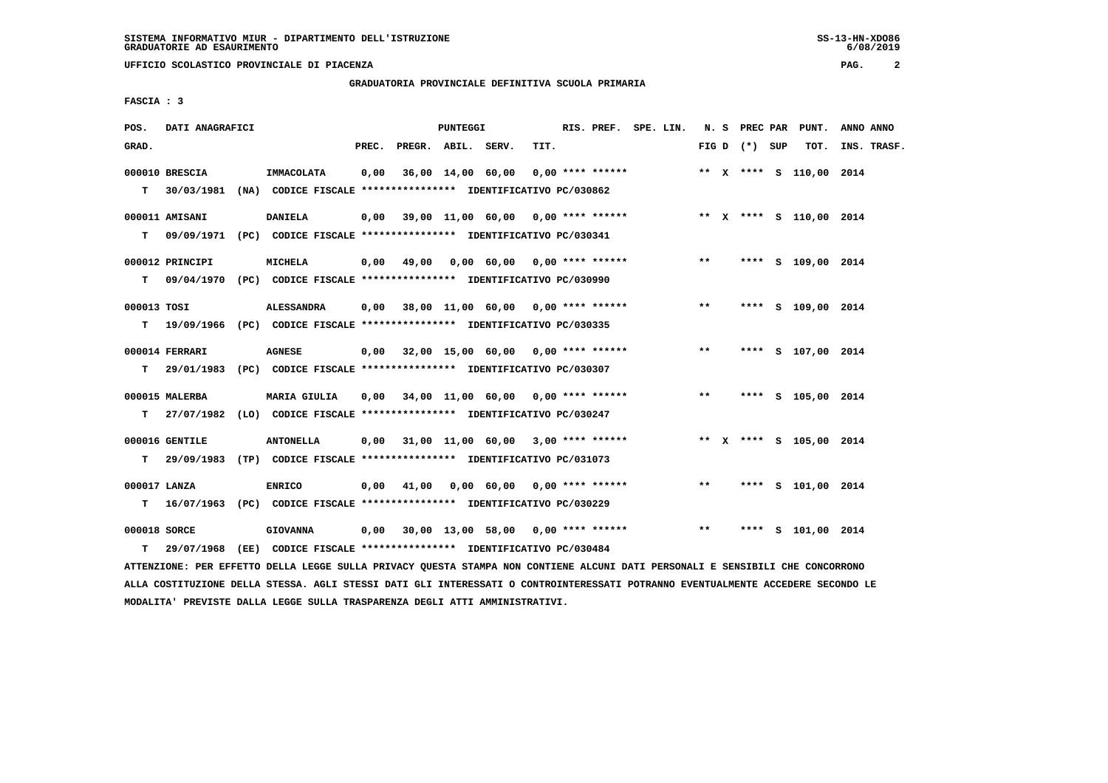**GRADUATORIA PROVINCIALE DEFINITIVA SCUOLA PRIMARIA**

 **FASCIA : 3**

| POS.         | DATI ANAGRAFICI |                                                                           |       |                    | PUNTEGGI |                                                                        |      | RIS. PREF. SPE. LIN. |  |       |                 | N. S PREC PAR PUNT.     | ANNO ANNO   |  |
|--------------|-----------------|---------------------------------------------------------------------------|-------|--------------------|----------|------------------------------------------------------------------------|------|----------------------|--|-------|-----------------|-------------------------|-------------|--|
| GRAD.        |                 |                                                                           | PREC. | PREGR. ABIL. SERV. |          |                                                                        | TIT. |                      |  |       | FIG D $(*)$ SUP | тот.                    | INS. TRASF. |  |
|              | 000010 BRESCIA  | IMMACOLATA                                                                | 0,00  |                    |          | 36,00 14,00 60,00                                                      |      | $0.00$ **** ******   |  |       |                 | ** X **** S 110,00 2014 |             |  |
|              |                 | T 30/03/1981 (NA) CODICE FISCALE *************** IDENTIFICATIVO PC/030862 |       |                    |          |                                                                        |      |                      |  |       |                 |                         |             |  |
|              | 000011 AMISANI  | <b>DANIELA</b>                                                            |       |                    |          | 0,00 39,00 11,00 60,00 0,00 **** ****** **** *** ** **** S 110,00 2014 |      |                      |  |       |                 |                         |             |  |
|              |                 | T 09/09/1971 (PC) CODICE FISCALE *************** IDENTIFICATIVO PC/030341 |       |                    |          |                                                                        |      |                      |  |       |                 |                         |             |  |
|              | 000012 PRINCIPI | <b>MICHELA</b>                                                            |       |                    |          | $0,00$ 49,00 0,00 60,00 0,00 **** ******                               |      |                      |  | $***$ |                 | **** S 109,00 2014      |             |  |
|              |                 | T 09/04/1970 (PC) CODICE FISCALE *************** IDENTIFICATIVO PC/030990 |       |                    |          |                                                                        |      |                      |  |       |                 |                         |             |  |
| 000013 TOSI  |                 | <b>ALESSANDRA</b>                                                         |       |                    |          | 0,00 38,00 11,00 60,00 0,00 **** ******                                |      |                      |  | $**$  |                 | **** S 109,00 2014      |             |  |
|              |                 | T 19/09/1966 (PC) CODICE FISCALE *************** IDENTIFICATIVO PC/030335 |       |                    |          |                                                                        |      |                      |  |       |                 |                         |             |  |
|              | 000014 FERRARI  | <b>AGNESE</b>                                                             |       |                    |          | $0,00$ 32,00 15,00 60,00 0,00 **** ******                              |      |                      |  | $***$ |                 | **** S 107,00 2014      |             |  |
|              |                 | T 29/01/1983 (PC) CODICE FISCALE *************** IDENTIFICATIVO PC/030307 |       |                    |          |                                                                        |      |                      |  |       |                 |                         |             |  |
|              | 000015 MALERBA  | <b>MARIA GIULIA</b>                                                       | 0,00  |                    |          | 34,00 11,00 60,00 0,00 **** ******                                     |      |                      |  | $***$ |                 | **** S 105,00 2014      |             |  |
|              |                 | T 27/07/1982 (LO) CODICE FISCALE *************** IDENTIFICATIVO PC/030247 |       |                    |          |                                                                        |      |                      |  |       |                 |                         |             |  |
|              | 000016 GENTILE  | <b>ANTONELLA</b>                                                          |       |                    |          | $0,00$ 31,00 11,00 60,00 3,00 **** ******                              |      |                      |  |       |                 | ** X **** S 105,00 2014 |             |  |
| т            |                 | 29/09/1983 (TP) CODICE FISCALE *************** IDENTIFICATIVO PC/031073   |       |                    |          |                                                                        |      |                      |  |       |                 |                         |             |  |
| 000017 LANZA |                 | <b>ENRICO</b>                                                             | 0,00  | 41,00              |          | 0,00 60,00 0,00 **** ******                                            |      |                      |  | $***$ |                 | **** S 101,00 2014      |             |  |
| T.           |                 | 16/07/1963 (PC) CODICE FISCALE *************** IDENTIFICATIVO PC/030229   |       |                    |          |                                                                        |      |                      |  |       |                 |                         |             |  |
| 000018 SORCE |                 | <b>GIOVANNA</b>                                                           |       |                    |          | $0,00$ 30,00 13,00 58,00 0,00 **** ******                              |      |                      |  | $***$ |                 | **** S 101,00 2014      |             |  |
| т            |                 | 29/07/1968 (EE) CODICE FISCALE *************** IDENTIFICATIVO PC/030484   |       |                    |          |                                                                        |      |                      |  |       |                 |                         |             |  |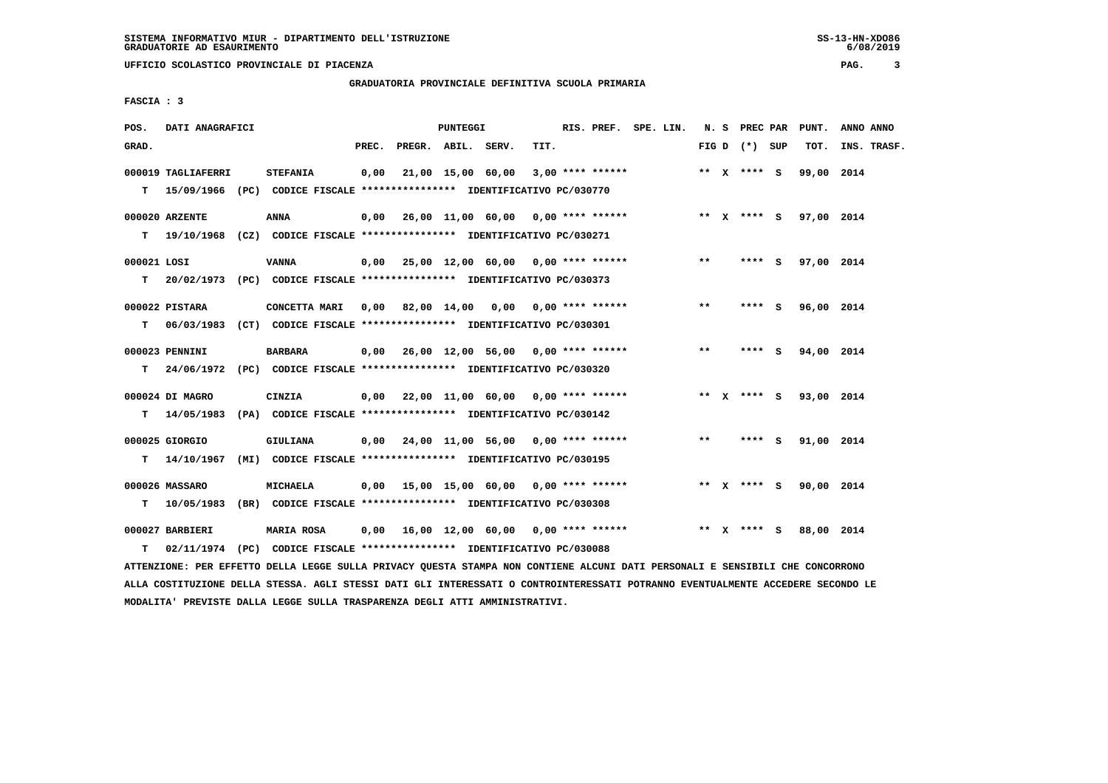**GRADUATORIA PROVINCIALE DEFINITIVA SCUOLA PRIMARIA**

 **FASCIA : 3**

| POS.              | DATI ANAGRAFICI    |                                                                                                                                 |       |                    | PUNTEGGI |                                                                                          |      | RIS. PREF. SPE. LIN. |  |       | N. S PREC PAR   | PUNT.                  | ANNO ANNO   |
|-------------------|--------------------|---------------------------------------------------------------------------------------------------------------------------------|-------|--------------------|----------|------------------------------------------------------------------------------------------|------|----------------------|--|-------|-----------------|------------------------|-------------|
| GRAD.             |                    |                                                                                                                                 | PREC. | PREGR. ABIL. SERV. |          |                                                                                          | TIT. |                      |  |       | FIG D $(*)$ SUP | TOT.                   | INS. TRASF. |
|                   | 000019 TAGLIAFERRI | <b>STEFANIA</b><br>T 15/09/1966 (PC) CODICE FISCALE *************** IDENTIFICATIVO PC/030770                                    |       |                    |          | $0,00$ 21,00 15,00 60,00 3,00 **** ******                                                |      |                      |  |       | ** $X$ **** S   | 99,00 2014             |             |
|                   | 000020 ARZENTE     | <b>ANNA</b><br>T 19/10/1968 (CZ) CODICE FISCALE *************** IDENTIFICATIVO PC/030271                                        |       |                    |          | 0,00  26,00  11,00  60,00  0,00  ****  ******    **    **    x  ****    s    97,00  2014 |      |                      |  |       |                 |                        |             |
| 000021 LOSI<br>T. |                    | <b>VANNA</b><br>20/02/1973 (PC) CODICE FISCALE **************** IDENTIFICATIVO PC/030373                                        |       |                    |          | $0,00$ 25,00 12,00 60,00 0,00 **** ******                                                |      |                      |  | $***$ | **** S          | 97,00 2014             |             |
| T.                | 000022 PISTARA     | CONCETTA MARI 0,00 82,00 14,00 0,00 0,00 **** ******<br>06/03/1983 (CT) CODICE FISCALE *************** IDENTIFICATIVO PC/030301 |       |                    |          |                                                                                          |      |                      |  | $* *$ | **** S          | 96,00 2014             |             |
| т                 | 000023 PENNINI     | <b>BARBARA</b><br>24/06/1972 (PC) CODICE FISCALE *************** IDENTIFICATIVO PC/030320                                       |       |                    |          |                                                                                          |      |                      |  | $***$ | $***5$          | 94,00 2014             |             |
| T.                | 000024 DI MAGRO    | CINZIA<br>14/05/1983 (PA) CODICE FISCALE **************** IDENTIFICATIVO PC/030142                                              |       |                    |          | $0,00$ 22,00 11,00 60,00 0,00 **** ******                                                |      |                      |  |       | ** x **** S     | 93,00 2014             |             |
|                   | 000025 GIORGIO     | GIULIANA<br>T 14/10/1967 (MI) CODICE FISCALE *************** IDENTIFICATIVO PC/030195                                           |       |                    |          | $0,00$ 24,00 11,00 56,00 0,00 **** ******                                                |      |                      |  | $* *$ | **** S          | 91,00 2014             |             |
| T.                | 000026 MASSARO     | MICHAELA<br>10/05/1983 (BR) CODICE FISCALE *************** IDENTIFICATIVO PC/030308                                             |       |                    |          | $0,00$ 15,00 15,00 60,00 0,00 **** ******                                                |      |                      |  |       |                 | ** X **** S 90,00 2014 |             |
| T.                | 000027 BARBIERI    | <b>MARIA ROSA</b><br>02/11/1974 (PC) CODICE FISCALE **************** IDENTIFICATIVO PC/030088                                   |       |                    |          | $0,00$ 16,00 12,00 60,00 0,00 **** ******                                                |      |                      |  |       | ** x **** s     | 88,00 2014             |             |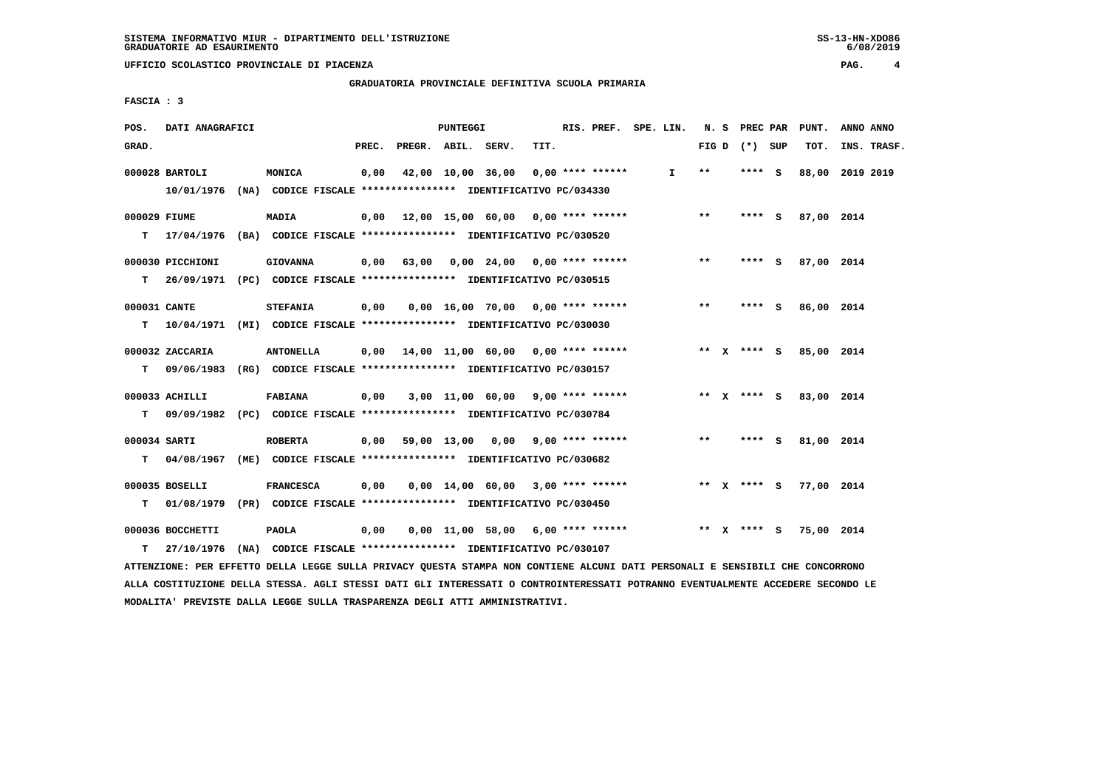**GRADUATORIA PROVINCIALE DEFINITIVA SCUOLA PRIMARIA**

 **FASCIA : 3**

| POS.               | DATI ANAGRAFICI                                                                              |                                                                              |       |                                           | PUNTEGGI |                                     |      | RIS. PREF. SPE. LIN. |    |                 | N. S PREC PAR | PUNT.           | ANNO ANNO |             |
|--------------------|----------------------------------------------------------------------------------------------|------------------------------------------------------------------------------|-------|-------------------------------------------|----------|-------------------------------------|------|----------------------|----|-----------------|---------------|-----------------|-----------|-------------|
| GRAD.              |                                                                                              |                                                                              | PREC. | PREGR. ABIL. SERV.                        |          |                                     | TIT. |                      |    | FIG D $(*)$ SUP |               | TOT.            |           | INS. TRASF. |
|                    | 000028 BARTOLI<br>10/01/1976 (NA) CODICE FISCALE *************** IDENTIFICATIVO PC/034330    | MONICA                                                                       | 0,00  | 42,00 10,00 36,00                         |          |                                     |      | $0.00$ **** ******   | I. | $* *$           | **** S        | 88,00 2019 2019 |           |             |
| 000029 FIUME<br>т  | 17/04/1976 (BA) CODICE FISCALE **************** IDENTIFICATIVO PC/030520                     | <b>MADIA</b>                                                                 |       | $0,00$ 12,00 15,00 60,00 0,00 **** ****** |          |                                     |      |                      |    | $***$           | $***$ S       | 87,00 2014      |           |             |
| т                  | 000030 PICCHIONI<br>26/09/1971 (PC) CODICE FISCALE **************** IDENTIFICATIVO PC/030515 | <b>GIOVANNA</b>                                                              |       | $0,00$ 63,00 0,00 24,00 0,00 **** ******  |          |                                     |      |                      |    | $***$           | **** S        | 87,00 2014      |           |             |
| 000031 CANTE<br>т  | 10/04/1971 (MI) CODICE FISCALE **************** IDENTIFICATIVO PC/030030                     | <b>STEFANIA</b>                                                              | 0,00  |                                           |          | 0,00 16,00 70,00 0,00 **** ******   |      |                      |    | $***$           | **** S        | 86,00 2014      |           |             |
| т                  | 000032 ZACCARIA<br>09/06/1983 (RG) CODICE FISCALE *************** IDENTIFICATIVO PC/030157   | <b>ANTONELLA</b>                                                             |       | $0.00$ 14.00 11.00 60.00 0.00 **** ****** |          |                                     |      |                      |    | ** $X$ **** $S$ |               | 85,00 2014      |           |             |
| т                  | 000033 ACHILLI<br>09/09/1982 (PC) CODICE FISCALE **************** IDENTIFICATIVO PC/030784   | <b>FABIANA</b>                                                               | 0,00  |                                           |          | $3,00$ 11,00 60,00 9,00 **** ****** |      |                      |    | $*** x*** s$    |               | 83,00 2014      |           |             |
| 000034 SARTI<br>T. | 04/08/1967 (ME) CODICE FISCALE **************** IDENTIFICATIVO PC/030682                     | <b>ROBERTA</b>                                                               |       | $0.00$ 59.00 13.00 0.00 9.00 **** ******  |          |                                     |      |                      |    | $***$           | $***$ S       | 81,00 2014      |           |             |
| т                  | 000035 BOSELLI<br>01/08/1979 (PR) CODICE FISCALE *************** IDENTIFICATIVO PC/030450    | <b>FRANCESCA</b>                                                             | 0,00  |                                           |          | $0,00$ 14,00 60,00 3,00 **** ****** |      |                      |    | ** x **** S     |               | 77,00 2014      |           |             |
| т                  | 000036 BOCCHETTI<br>27/10/1976                                                               | <b>PAOLA</b><br>(NA) CODICE FISCALE *************** IDENTIFICATIVO PC/030107 | 0,00  |                                           |          | $0,00$ 11,00 58,00 6,00 **** ****** |      |                      |    |                 | ** x **** s   | 75,00 2014      |           |             |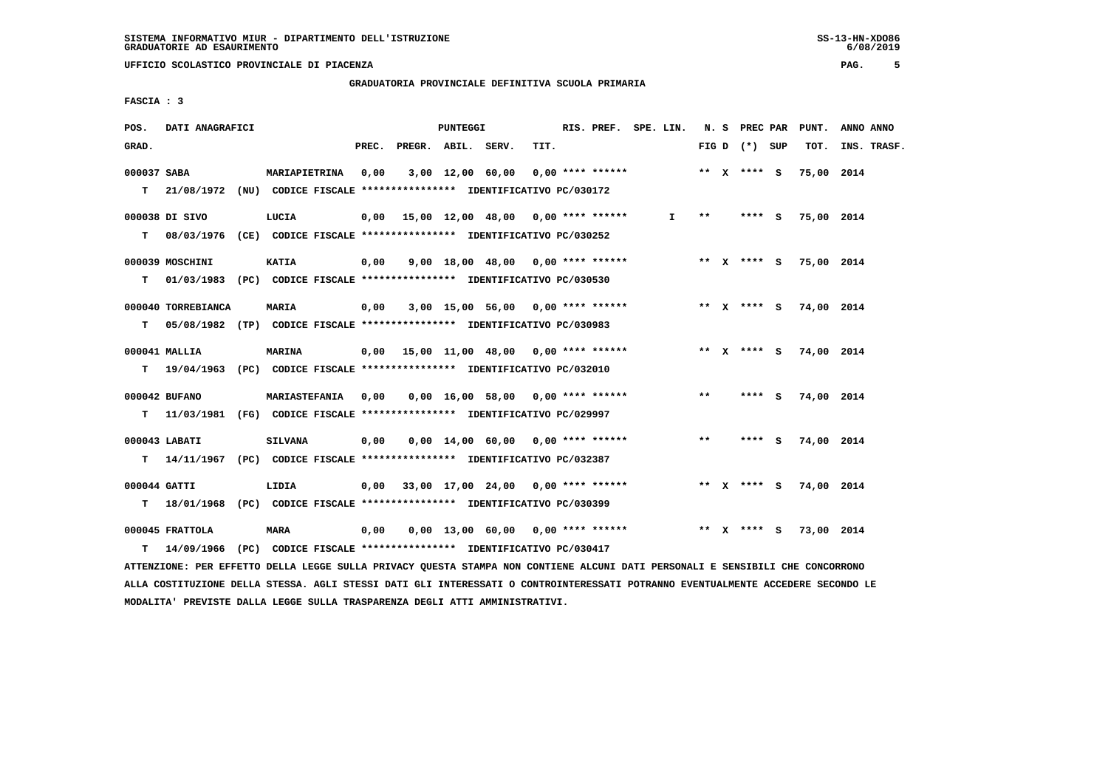**GRADUATORIA PROVINCIALE DEFINITIVA SCUOLA PRIMARIA**

 **FASCIA : 3**

| POS.         | DATI ANAGRAFICI                                                                                                                                                           |                |       |                    | PUNTEGGI |                                                             |      | RIS. PREF. SPE. LIN. |              |       |                 | N. S PREC PAR PUNT.    | ANNO ANNO   |
|--------------|---------------------------------------------------------------------------------------------------------------------------------------------------------------------------|----------------|-------|--------------------|----------|-------------------------------------------------------------|------|----------------------|--------------|-------|-----------------|------------------------|-------------|
| GRAD.        |                                                                                                                                                                           |                | PREC. | PREGR. ABIL. SERV. |          |                                                             | TIT. |                      |              |       | FIG D $(*)$ SUP | тот.                   | INS. TRASF. |
| 000037 SABA  | T 21/08/1972 (NU) CODICE FISCALE *************** IDENTIFICATIVO PC/030172                                                                                                 | MARIAPIETRINA  | 0,00  |                    |          | $3,00$ 12,00 60,00 0,00 **** ******                         |      |                      |              |       | ** x **** s     | 75,00 2014             |             |
|              | 000038 DI SIVO<br>T 08/03/1976 (CE) CODICE FISCALE *************** IDENTIFICATIVO PC/030252                                                                               | LUCIA          |       |                    |          | $0,00$ 15,00 12,00 48,00 0,00 **** ******                   |      |                      | $\mathbf{I}$ | $***$ | **** S          | 75,00 2014             |             |
|              | 000039 MOSCHINI                                                                                                                                                           | KATIA          |       |                    |          | 0,00 9,00 18,00 48,00 0,00 **** ******                      |      |                      |              |       |                 | ** x **** s 75,00 2014 |             |
| T.           | 01/03/1983 (PC) CODICE FISCALE **************** IDENTIFICATIVO PC/030530<br>000040 TORREBIANCA                                                                            | MARIA          | 0,00  |                    |          | 3,00 15,00 56,00 0,00 **** ****** *** ** ** X **** S        |      |                      |              |       |                 | 74,00 2014             |             |
| T.           | 05/08/1982 (TP) CODICE FISCALE **************** IDENTIFICATIVO PC/030983<br>000041 MALLIA                                                                                 | <b>MARINA</b>  |       |                    |          | 0,00 15,00 11,00 48,00 0,00 **** ******                     |      |                      |              |       |                 | ** x **** s 74,00 2014 |             |
|              | T 19/04/1963 (PC) CODICE FISCALE *************** IDENTIFICATIVO PC/032010                                                                                                 |                |       |                    |          |                                                             |      |                      |              |       |                 |                        |             |
|              | 000042 BUFANO<br>T 11/03/1981 (FG) CODICE FISCALE *************** IDENTIFICATIVO PC/029997                                                                                |                |       |                    |          | MARIASTEFANIA  0,00  0,00  16,00  58,00  0,00  ****  ****** |      |                      |              | $***$ | $***$ S         | 74,00 2014             |             |
|              | 000043 LABATI<br>T 14/11/1967 (PC) CODICE FISCALE **************** IDENTIFICATIVO PC/032387                                                                               | <b>SILVANA</b> |       |                    |          | $0,00$ $0,00$ $14,00$ $60,00$ $0,00$ $***$ **** ******      |      |                      |              | $* *$ |                 | **** S 74,00 2014      |             |
| 000044 GATTI |                                                                                                                                                                           | LIDIA          |       |                    |          | $0.00$ 33,00 17,00 24,00 0,00 **** ******                   |      |                      |              |       |                 | ** X **** S 74,00 2014 |             |
|              | T 18/01/1968 (PC) CODICE FISCALE *************** IDENTIFICATIVO PC/030399<br>000045 FRATTOLA<br>T 14/09/1966 (PC) CODICE FISCALE *************** IDENTIFICATIVO PC/030417 | <b>MARA</b>    | 0,00  |                    |          | $0.00$ 13.00 60.00 0.00 **** ******                         |      |                      |              |       | ** x **** S     | 73,00 2014             |             |
|              |                                                                                                                                                                           |                |       |                    |          |                                                             |      |                      |              |       |                 |                        |             |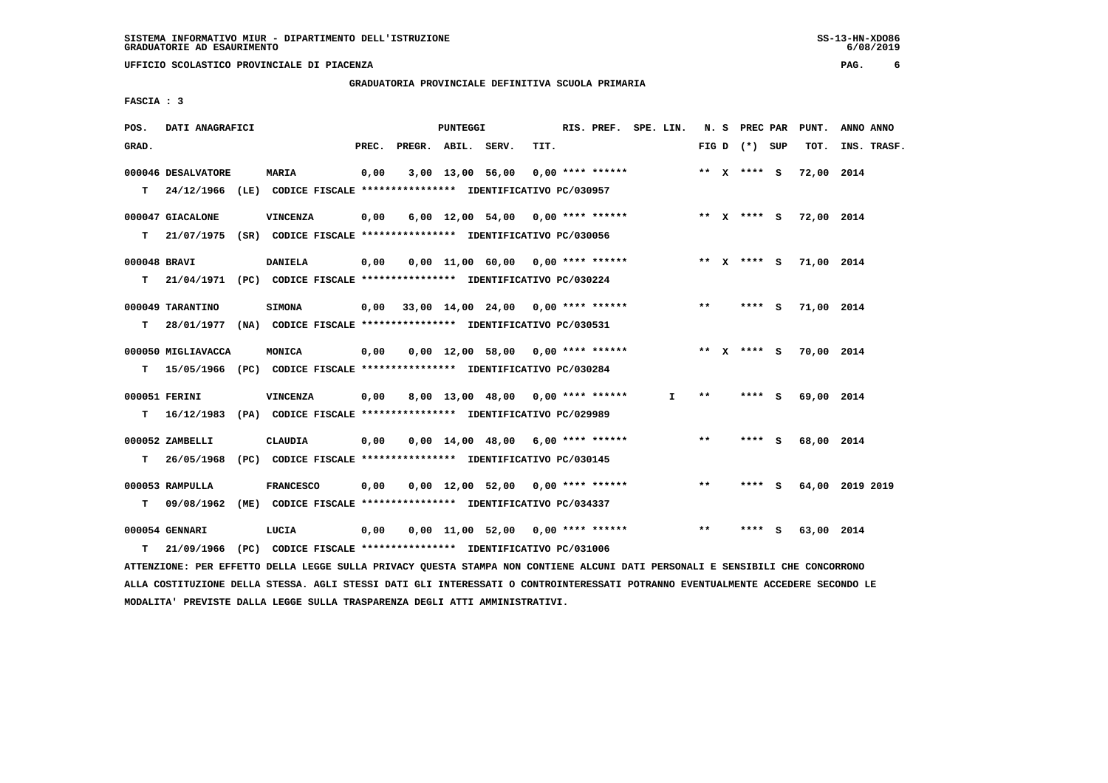$6/08/2019$ 

 **UFFICIO SCOLASTICO PROVINCIALE DI PIACENZA PAG. 6**

 **GRADUATORIA PROVINCIALE DEFINITIVA SCUOLA PRIMARIA**

 **FASCIA : 3**

| POS.         | DATI ANAGRAFICI    |                                                                                                                               |       |                    | <b>PUNTEGGI</b> |                                           |      | RIS. PREF. SPE. LIN. |    |       |                   | N. S PREC PAR PUNT.    | ANNO ANNO       |
|--------------|--------------------|-------------------------------------------------------------------------------------------------------------------------------|-------|--------------------|-----------------|-------------------------------------------|------|----------------------|----|-------|-------------------|------------------------|-----------------|
| GRAD.        |                    |                                                                                                                               | PREC. | PREGR. ABIL. SERV. |                 |                                           | TIT. |                      |    |       | FIG $D$ $(*)$ SUP | тот.                   | INS. TRASF.     |
|              | 000046 DESALVATORE | <b>MARIA</b>                                                                                                                  | 0,00  |                    |                 | $3,00$ 13,00 56,00 0,00 **** ******       |      |                      |    |       | ** x **** s       | 72,00 2014             |                 |
|              |                    | T 24/12/1966 (LE) CODICE FISCALE *************** IDENTIFICATIVO PC/030957                                                     |       |                    |                 |                                           |      |                      |    |       |                   |                        |                 |
|              | 000047 GIACALONE   | <b>VINCENZA</b>                                                                                                               | 0,00  |                    |                 | $6,00$ 12,00 54,00 0,00 **** ******       |      |                      |    |       |                   | ** X **** S 72,00 2014 |                 |
|              |                    | T 21/07/1975 (SR) CODICE FISCALE *************** IDENTIFICATIVO PC/030056                                                     |       |                    |                 |                                           |      |                      |    |       |                   |                        |                 |
| 000048 BRAVI |                    | <b>DANIELA</b>                                                                                                                | 0,00  |                    |                 | 0,00 11,00 60,00 0,00 **** ******         |      |                      |    |       |                   | ** X **** S 71,00 2014 |                 |
|              |                    | T 21/04/1971 (PC) CODICE FISCALE *************** IDENTIFICATIVO PC/030224                                                     |       |                    |                 |                                           |      |                      |    |       |                   |                        |                 |
|              | 000049 TARANTINO   | <b>SIMONA</b>                                                                                                                 |       |                    |                 | $0,00$ 33,00 14,00 24,00 0,00 **** ****** |      |                      |    | $* *$ | $***$ S           | 71,00 2014             |                 |
|              |                    | T 28/01/1977 (NA) CODICE FISCALE **************** IDENTIFICATIVO PC/030531                                                    |       |                    |                 |                                           |      |                      |    |       |                   |                        |                 |
|              | 000050 MIGLIAVACCA | MONICA                                                                                                                        | 0,00  |                    |                 | $0,00$ 12,00 58,00 0,00 **** ******       |      |                      |    |       | ** x **** s       | 70,00 2014             |                 |
|              |                    | T 15/05/1966 (PC) CODICE FISCALE *************** IDENTIFICATIVO PC/030284                                                     |       |                    |                 |                                           |      |                      |    |       |                   |                        |                 |
|              | 000051 FERINI      | VINCENZA                                                                                                                      | 0,00  |                    |                 | 8,00 13,00 48,00 0,00 **** ******         |      |                      | I. | $***$ | **** S            | 69,00 2014             |                 |
|              |                    | T 16/12/1983 (PA) CODICE FISCALE *************** IDENTIFICATIVO PC/029989                                                     |       |                    |                 |                                           |      |                      |    |       |                   |                        |                 |
|              | 000052 ZAMBELLI    | CLAUDIA                                                                                                                       | 0,00  |                    |                 | $0,00$ 14,00 48,00 6,00 **** ******       |      |                      |    | $* *$ | **** S            | 68,00 2014             |                 |
| T.           |                    | 26/05/1968 (PC) CODICE FISCALE **************** IDENTIFICATIVO PC/030145                                                      |       |                    |                 |                                           |      |                      |    |       |                   |                        |                 |
|              | 000053 RAMPULLA    | <b>FRANCESCO</b>                                                                                                              | 0,00  |                    |                 | $0,00$ 12,00 52,00 0,00 **** ******       |      |                      |    | $***$ | **** S            |                        | 64,00 2019 2019 |
|              |                    | T 09/08/1962 (ME) CODICE FISCALE **************** IDENTIFICATIVO PC/034337                                                    |       |                    |                 |                                           |      |                      |    |       |                   |                        |                 |
|              | 000054 GENNARI     | LUCIA                                                                                                                         | 0,00  |                    |                 | $0.00$ 11.00 52.00 0.00 **** ******       |      |                      |    | $* *$ | **** S            | 63,00 2014             |                 |
| т            | 21/09/1966         | (PC) CODICE FISCALE **************** IDENTIFICATIVO PC/031006                                                                 |       |                    |                 |                                           |      |                      |    |       |                   |                        |                 |
|              |                    | ATTENZIONE: PER EFFETTO DELLA LEGGE SULLA PRIVACY QUESTA STAMPA NON CONTIENE ALCUNI DATI PERSONALI E SENSIBILI CHE CONCORRONO |       |                    |                 |                                           |      |                      |    |       |                   |                        |                 |

 **ALLA COSTITUZIONE DELLA STESSA. AGLI STESSI DATI GLI INTERESSATI O CONTROINTERESSATI POTRANNO EVENTUALMENTE ACCEDERE SECONDO LE MODALITA' PREVISTE DALLA LEGGE SULLA TRASPARENZA DEGLI ATTI AMMINISTRATIVI.**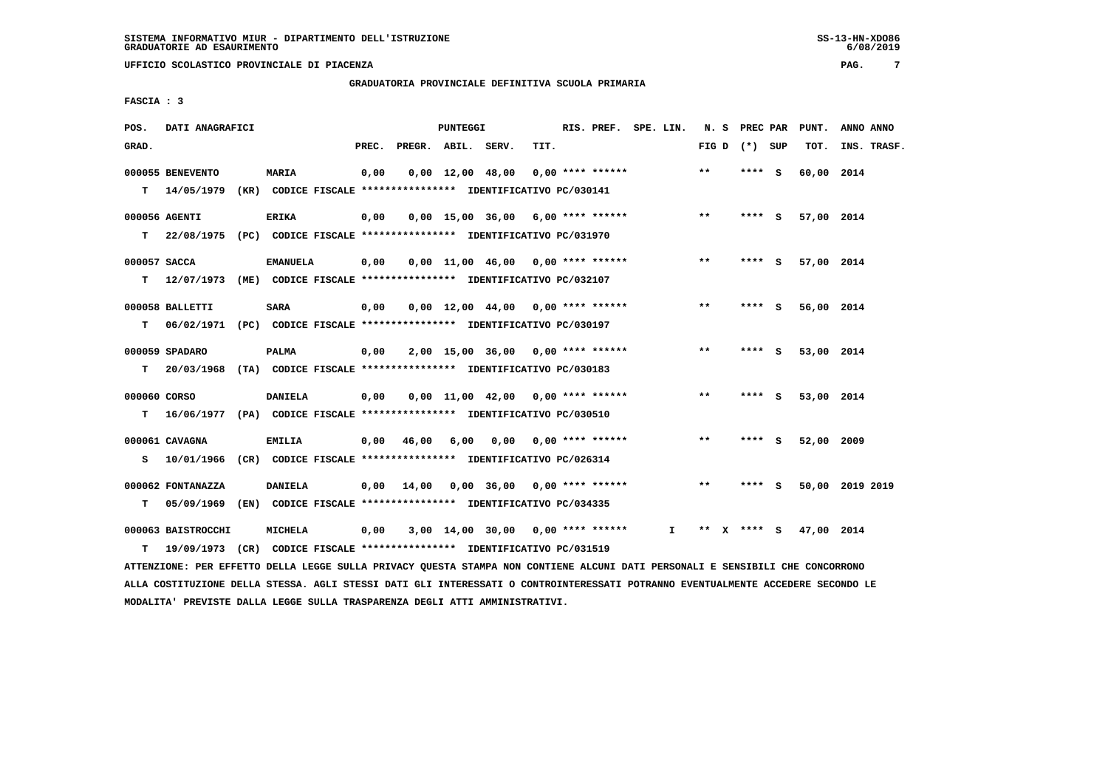**GRADUATORIA PROVINCIALE DEFINITIVA SCUOLA PRIMARIA**

 **FASCIA : 3**

| POS.         | DATI ANAGRAFICI                                                          |                 |       |                    | <b>PUNTEGGI</b> |                                     |      | RIS. PREF. SPE. LIN.      |              |       | N. S PREC PAR   | PUNT.      | ANNO ANNO       |
|--------------|--------------------------------------------------------------------------|-----------------|-------|--------------------|-----------------|-------------------------------------|------|---------------------------|--------------|-------|-----------------|------------|-----------------|
| GRAD.        |                                                                          |                 | PREC. | PREGR. ABIL. SERV. |                 |                                     | TIT. |                           |              |       | FIG D $(*)$ SUP | TOT.       | INS. TRASF.     |
|              | 000055 BENEVENTO                                                         | <b>MARIA</b>    | 0,00  |                    |                 | $0,00 \quad 12,00 \quad 48,00$      |      | $0.00$ **** ******        |              | $* *$ | $***$ S         | 60,00 2014 |                 |
| T.           | 14/05/1979 (KR) CODICE FISCALE *************** IDENTIFICATIVO PC/030141  |                 |       |                    |                 |                                     |      |                           |              |       |                 |            |                 |
|              | 000056 AGENTI                                                            | <b>ERIKA</b>    | 0,00  |                    |                 | $0,00$ 15,00 36,00 6,00 **** ****** |      |                           |              | $***$ | **** S          | 57,00 2014 |                 |
| т            | 22/08/1975 (PC) CODICE FISCALE *************** IDENTIFICATIVO PC/031970  |                 |       |                    |                 |                                     |      |                           |              |       |                 |            |                 |
| 000057 SACCA |                                                                          | <b>EMANUELA</b> | 0,00  |                    |                 | $0,00$ 11,00 46,00 0,00 **** ****** |      |                           |              | $* *$ | **** S          | 57,00 2014 |                 |
| T.           | 12/07/1973 (ME) CODICE FISCALE *************** IDENTIFICATIVO PC/032107  |                 |       |                    |                 |                                     |      |                           |              |       |                 |            |                 |
|              | 000058 BALLETTI                                                          | <b>SARA</b>     | 0,00  |                    |                 | $0,00$ 12,00 44,00 0,00 **** ****** |      |                           |              | $***$ | **** S          | 56,00 2014 |                 |
| T.           | 06/02/1971 (PC) CODICE FISCALE **************** IDENTIFICATIVO PC/030197 |                 |       |                    |                 |                                     |      |                           |              |       |                 |            |                 |
|              | 000059 SPADARO                                                           | <b>PALMA</b>    | 0,00  |                    |                 | $2,00$ 15,00 36,00 0,00 **** ****** |      |                           |              | $* *$ | **** S          | 53,00 2014 |                 |
| т            | 20/03/1968 (TA) CODICE FISCALE **************** IDENTIFICATIVO PC/030183 |                 |       |                    |                 |                                     |      |                           |              |       |                 |            |                 |
| 000060 CORSO |                                                                          | <b>DANIELA</b>  | 0,00  |                    |                 | $0,00$ 11,00 42,00 0,00 **** ****** |      |                           |              | **    | **** S          | 53,00 2014 |                 |
| T.           | 16/06/1977 (PA) CODICE FISCALE *************** IDENTIFICATIVO PC/030510  |                 |       |                    |                 |                                     |      |                           |              |       |                 |            |                 |
|              | 000061 CAVAGNA                                                           | <b>EMILIA</b>   | 0,00  | 46,00              | 6,00            |                                     |      | $0.00$ $0.00$ **** ****** |              | $* *$ | **** S          | 52,00 2009 |                 |
| s            | 10/01/1966 (CR) CODICE FISCALE *************** IDENTIFICATIVO PC/026314  |                 |       |                    |                 |                                     |      |                           |              |       |                 |            |                 |
|              | 000062 FONTANAZZA                                                        | <b>DANIELA</b>  |       | $0,00$ 14,00       |                 | 0,00 36,00                          |      | $0.00$ **** ******        |              | **    | **** S          |            | 50,00 2019 2019 |
| т            | 05/09/1969 (EN) CODICE FISCALE *************** IDENTIFICATIVO PC/034335  |                 |       |                    |                 |                                     |      |                           |              |       |                 |            |                 |
|              | 000063 BAISTROCCHI                                                       | MICHELA         | 0,00  |                    |                 | $3,00$ 14,00 30,00 0,00 **** ****** |      |                           | $\mathbf{I}$ | ** X  | **** S          | 47,00 2014 |                 |
| т            | 19/09/1973 (CR) CODICE FISCALE **************** IDENTIFICATIVO PC/031519 |                 |       |                    |                 |                                     |      |                           |              |       |                 |            |                 |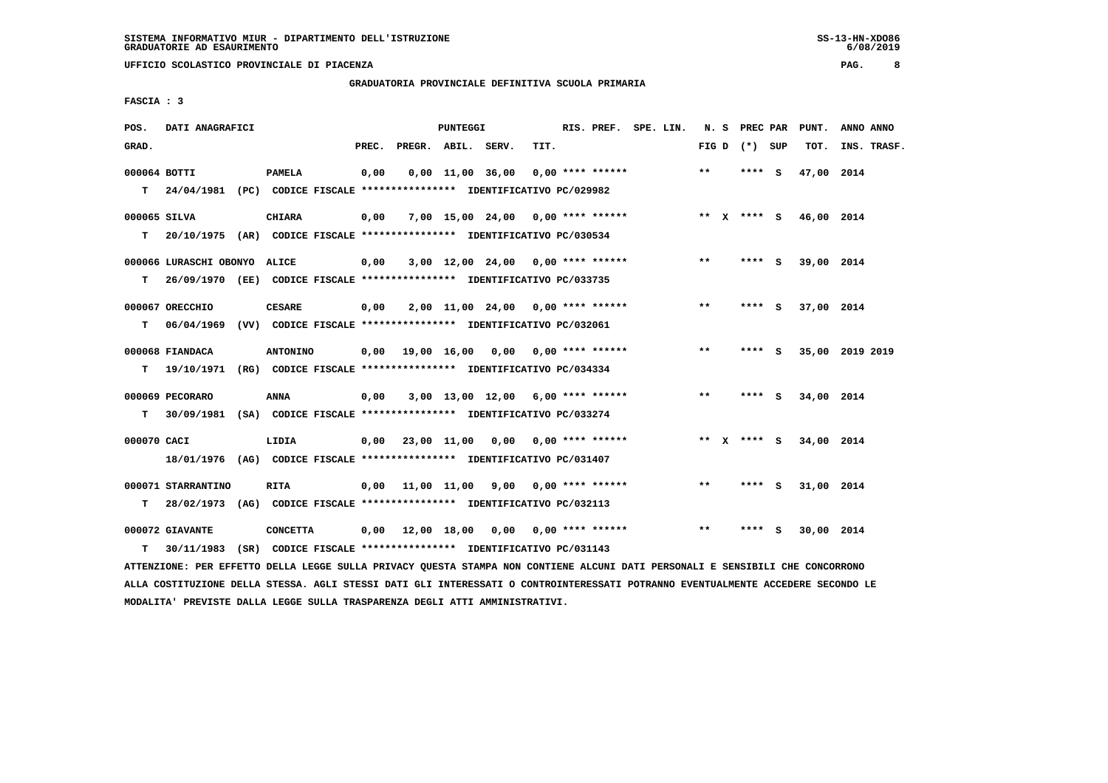**GRADUATORIA PROVINCIALE DEFINITIVA SCUOLA PRIMARIA**

 **FASCIA : 3**

| POS.         | DATI ANAGRAFICI                                                           |                 |       |                        | PUNTEGGI |                                          |      | RIS. PREF. SPE. LIN. |  |       | N. S PREC PAR   |     | PUNT.                  | ANNO ANNO |             |
|--------------|---------------------------------------------------------------------------|-----------------|-------|------------------------|----------|------------------------------------------|------|----------------------|--|-------|-----------------|-----|------------------------|-----------|-------------|
| GRAD.        |                                                                           |                 | PREC. | PREGR. ABIL. SERV.     |          |                                          | TIT. |                      |  |       | FIG D $(*)$ SUP |     | TOT.                   |           | INS. TRASF. |
| 000064 BOTTI |                                                                           | <b>PAMELA</b>   | 0,00  |                        |          | $0,00$ $11,00$ $36,00$                   |      | $0.00$ **** ******   |  | $**$  | **** S          |     | 47,00 2014             |           |             |
|              | T 24/04/1981 (PC) CODICE FISCALE *************** IDENTIFICATIVO PC/029982 |                 |       |                        |          |                                          |      |                      |  |       |                 |     |                        |           |             |
| 000065 SILVA |                                                                           | <b>CHIARA</b>   | 0,00  |                        |          | 7,00 15,00 24,00 0,00 **** ******        |      |                      |  |       |                 |     | ** X **** S 46,00 2014 |           |             |
| T.           | 20/10/1975 (AR) CODICE FISCALE *************** IDENTIFICATIVO PC/030534   |                 |       |                        |          |                                          |      |                      |  |       |                 |     |                        |           |             |
|              | 000066 LURASCHI OBONYO ALICE                                              |                 | 0,00  |                        |          | $3,00$ 12,00 24,00 0,00 **** ******      |      |                      |  | **    | **** S          |     | 39,00 2014             |           |             |
| т            | 26/09/1970 (EE) CODICE FISCALE *************** IDENTIFICATIVO PC/033735   |                 |       |                        |          |                                          |      |                      |  |       |                 |     |                        |           |             |
|              | 000067 ORECCHIO                                                           | <b>CESARE</b>   | 0,00  |                        |          | 2,00 11,00 24,00 0,00 **** ******        |      |                      |  | $**$  | **** S          |     | 37,00 2014             |           |             |
| т            | 06/04/1969 (VV) CODICE FISCALE *************** IDENTIFICATIVO PC/032061   |                 |       |                        |          |                                          |      |                      |  |       |                 |     |                        |           |             |
|              | 000068 FIANDACA                                                           | <b>ANTONINO</b> |       |                        |          | $0,00$ $19,00$ $16,00$ $0,00$            |      | $0.00$ **** ******   |  | $**$  | **** S          |     | 35,00 2019 2019        |           |             |
| т            | 19/10/1971 (RG) CODICE FISCALE *************** IDENTIFICATIVO PC/034334   |                 |       |                        |          |                                          |      |                      |  |       |                 |     |                        |           |             |
|              | 000069 PECORARO                                                           | <b>ANNA</b>     | 0,00  |                        |          | $3,00$ 13,00 12,00 6,00 **** ******      |      |                      |  | $***$ | **** S          |     | 34,00 2014             |           |             |
| т            | 30/09/1981 (SA) CODICE FISCALE *************** IDENTIFICATIVO PC/033274   |                 |       |                        |          |                                          |      |                      |  |       |                 |     |                        |           |             |
| 000070 CACI  |                                                                           | LIDIA           |       |                        |          | $0.00$ 23.00 11.00 0.00 0.00 **** ****** |      |                      |  |       | ** X **** S     |     | 34,00 2014             |           |             |
|              | 18/01/1976 (AG) CODICE FISCALE *************** IDENTIFICATIVO PC/031407   |                 |       |                        |          |                                          |      |                      |  |       |                 |     |                        |           |             |
|              | 000071 STARRANTINO                                                        | <b>RITA</b>     |       |                        |          | $0.00$ 11.00 11.00 9.00 0.00 **** ****** |      |                      |  | **    | **** S          |     | 31,00 2014             |           |             |
| т            | 28/02/1973 (AG) CODICE FISCALE *************** IDENTIFICATIVO PC/032113   |                 |       |                        |          |                                          |      |                      |  |       |                 |     |                        |           |             |
|              | 000072 GIAVANTE                                                           | <b>CONCETTA</b> |       | $0,00$ $12,00$ $18,00$ |          | 0,00                                     |      | 0,00 **** ******     |  | $* *$ | ****            | - S | 30,00 2014             |           |             |
| т            | 30/11/1983 (SR) CODICE FISCALE *************** IDENTIFICATIVO PC/031143   |                 |       |                        |          |                                          |      |                      |  |       |                 |     |                        |           |             |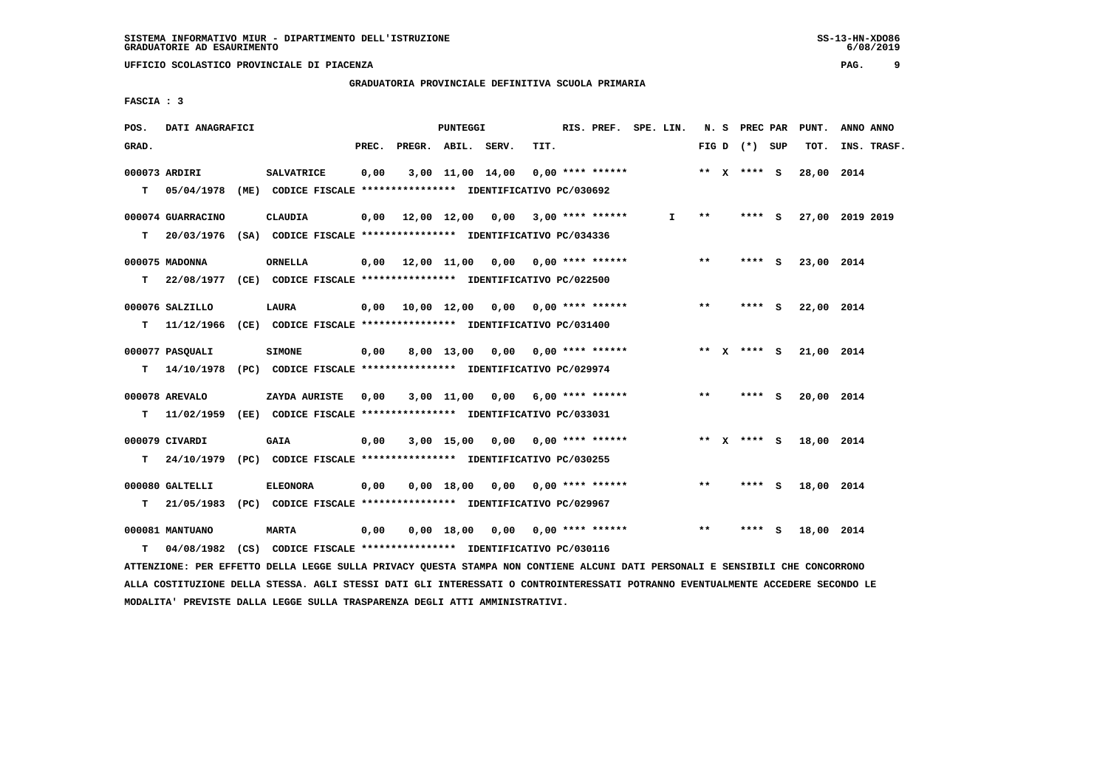**GRADUATORIA PROVINCIALE DEFINITIVA SCUOLA PRIMARIA**

 **FASCIA : 3**

| POS.  | DATI ANAGRAFICI                                                           |                   |       | <b>PUNTEGGI</b> |                                          |      | RIS. PREF. SPE. LIN. |    |       | N. S PREC PAR     |        | PUNT.                  | ANNO ANNO |             |
|-------|---------------------------------------------------------------------------|-------------------|-------|-----------------|------------------------------------------|------|----------------------|----|-------|-------------------|--------|------------------------|-----------|-------------|
| GRAD. |                                                                           |                   | PREC. |                 | PREGR. ABIL. SERV.                       | TIT. |                      |    |       | FIG $D$ $(*)$ SUP |        | TOT.                   |           | INS. TRASF. |
|       | 000073 ARDIRI                                                             | <b>SALVATRICE</b> | 0,00  |                 | 3,00 11,00 14,00                         |      | 0,00 **** ******     |    |       | ** x **** s       |        | 28,00 2014             |           |             |
|       | T 05/04/1978 (ME) CODICE FISCALE *************** IDENTIFICATIVO PC/030692 |                   |       |                 |                                          |      |                      |    |       |                   |        |                        |           |             |
|       | 000074 GUARRACINO                                                         | <b>CLAUDIA</b>    |       |                 | $0,00$ 12,00 12,00 0,00 3,00 **** ****** |      |                      | I. | $***$ | **** S            |        | 27,00 2019 2019        |           |             |
| T.    | 20/03/1976 (SA) CODICE FISCALE **************** IDENTIFICATIVO PC/034336  |                   |       |                 |                                          |      |                      |    |       |                   |        |                        |           |             |
|       | 000075 MADONNA                                                            | <b>ORNELLA</b>    |       |                 | 0,00 12,00 11,00 0,00 0,00 **** ******   |      |                      |    | $***$ |                   | **** S | 23,00 2014             |           |             |
| т     | 22/08/1977 (CE) CODICE FISCALE *************** IDENTIFICATIVO PC/022500   |                   |       |                 |                                          |      |                      |    |       |                   |        |                        |           |             |
|       | 000076 SALZILLO                                                           | <b>LAURA</b>      |       |                 | 0,00 10,00 12,00 0,00 0,00 **** ******   |      |                      |    | $***$ | **** S            |        | 22,00 2014             |           |             |
| T.    | 11/12/1966 (CE) CODICE FISCALE *************** IDENTIFICATIVO PC/031400   |                   |       |                 |                                          |      |                      |    |       |                   |        |                        |           |             |
|       | 000077 PASOUALI                                                           | <b>SIMONE</b>     |       |                 | 0,00 8,00 13,00 0,00 0,00 **** ******    |      |                      |    |       |                   |        | ** X **** S 21,00 2014 |           |             |
| T.    | 14/10/1978 (PC) CODICE FISCALE **************** IDENTIFICATIVO PC/029974  |                   |       |                 |                                          |      |                      |    |       |                   |        |                        |           |             |
|       | 000078 AREVALO                                                            | ZAYDA AURISTE     | 0,00  |                 | 3,00 11,00 0,00 6,00 **** ******         |      |                      |    | $***$ | $***$ S           |        | 20,00 2014             |           |             |
|       | T 11/02/1959 (EE) CODICE FISCALE *************** IDENTIFICATIVO PC/033031 |                   |       |                 |                                          |      |                      |    |       |                   |        |                        |           |             |
|       | 000079 CIVARDI                                                            | <b>GAIA</b>       | 0,00  |                 | $3,00$ 15,00 0,00 0,00 **** ******       |      |                      |    |       | ** x **** S       |        | 18,00 2014             |           |             |
| T.    | 24/10/1979 (PC) CODICE FISCALE *************** IDENTIFICATIVO PC/030255   |                   |       |                 |                                          |      |                      |    |       |                   |        |                        |           |             |
|       | 000080 GALTELLI                                                           | <b>ELEONORA</b>   | 0,00  |                 | $0,00$ 18,00 0,00 0,00 **** ******       |      |                      |    | $***$ | **** S            |        | 18,00 2014             |           |             |
|       | T 21/05/1983 (PC) CODICE FISCALE *************** IDENTIFICATIVO PC/029967 |                   |       |                 |                                          |      |                      |    |       |                   |        |                        |           |             |
|       | 000081 MANTUANO                                                           | <b>MARTA</b>      | 0,00  |                 | 0,00 18,00 0,00 0,00 **** ******         |      |                      |    | $***$ | **** S            |        | 18,00 2014             |           |             |
| т     | 04/08/1982 (CS) CODICE FISCALE *************** IDENTIFICATIVO PC/030116   |                   |       |                 |                                          |      |                      |    |       |                   |        |                        |           |             |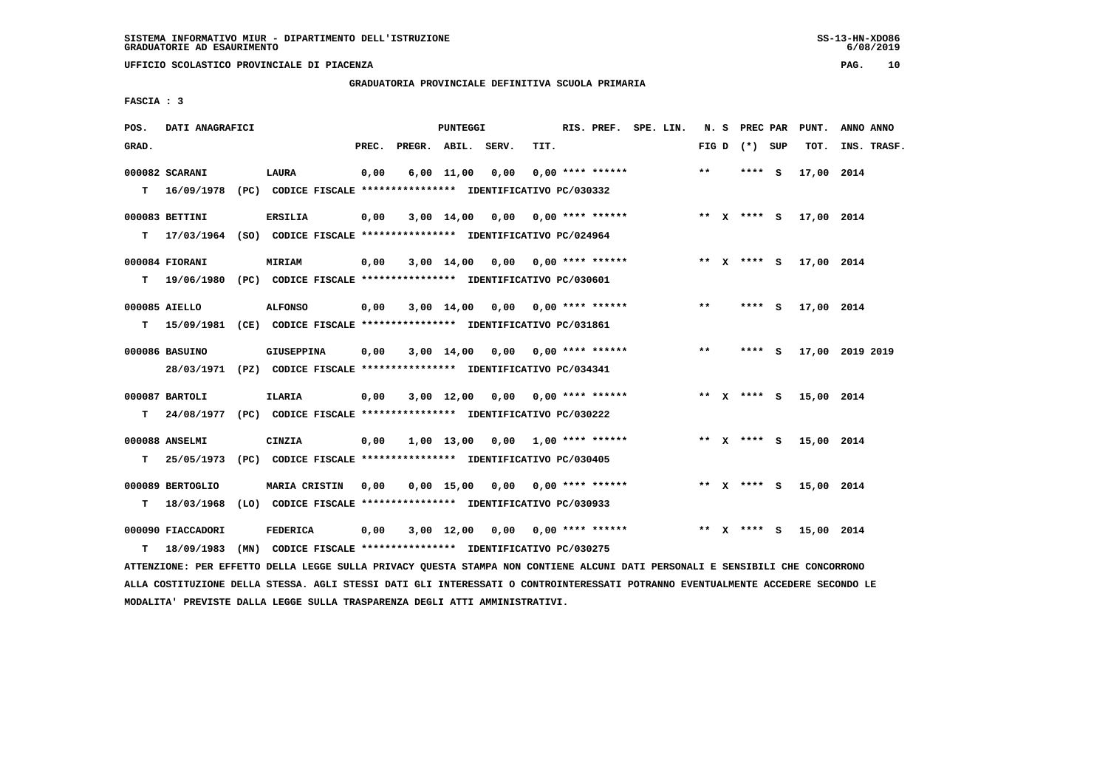$6/08/2019$ 

 **UFFICIO SCOLASTICO PROVINCIALE DI PIACENZA PAG. 10**

 **GRADUATORIA PROVINCIALE DEFINITIVA SCUOLA PRIMARIA**

 **FASCIA : 3**

| POS.  | DATI ANAGRAFICI                |                                                                                       |       |                    | <b>PUNTEGGI</b> |                                               |      | RIS. PREF. SPE. LIN. |  |       | N. S PREC PAR   | PUNT.      | ANNO ANNO       |
|-------|--------------------------------|---------------------------------------------------------------------------------------|-------|--------------------|-----------------|-----------------------------------------------|------|----------------------|--|-------|-----------------|------------|-----------------|
| GRAD. |                                |                                                                                       | PREC. | PREGR. ABIL. SERV. |                 |                                               | TIT. |                      |  |       | FIG D $(*)$ SUP | TOT.       | INS. TRASF.     |
|       | 000082 SCARANI                 | LAURA                                                                                 | 0,00  |                    |                 | $6,00$ $11,00$ $0,00$                         |      | $0.00$ **** ******   |  | $***$ | $***$ S         | 17,00 2014 |                 |
|       |                                | T 16/09/1978 (PC) CODICE FISCALE *************** IDENTIFICATIVO PC/030332             |       |                    |                 |                                               |      |                      |  |       |                 |            |                 |
|       | 000083 BETTINI                 | <b>ERSILIA</b>                                                                        | 0,00  |                    |                 | $3,00$ 14,00 0,00 0,00 **** ******            |      |                      |  |       | ** x **** S     | 17,00 2014 |                 |
|       |                                | T 17/03/1964 (SO) CODICE FISCALE *************** IDENTIFICATIVO PC/024964             |       |                    |                 |                                               |      |                      |  |       |                 |            |                 |
|       | 000084 FIORANI                 | MIRIAM                                                                                | 0,00  |                    |                 | $3,00$ 14,00 0,00 0,00 **** ******            |      |                      |  |       | ** X **** S     | 17,00 2014 |                 |
| т     |                                | 19/06/1980 (PC) CODICE FISCALE *************** IDENTIFICATIVO PC/030601               |       |                    |                 |                                               |      |                      |  |       |                 |            |                 |
|       | 000085 AIELLO                  | <b>ALFONSO</b>                                                                        | 0,00  |                    |                 | $3,00$ 14,00 0,00 0,00 **** ******            |      |                      |  | $***$ | **** S          | 17,00 2014 |                 |
| т     |                                | 15/09/1981 (CE) CODICE FISCALE *************** IDENTIFICATIVO PC/031861               |       |                    |                 |                                               |      |                      |  |       |                 |            |                 |
|       | 000086 BASUINO                 | <b>GIUSEPPINA</b>                                                                     | 0,00  |                    |                 | 3,00 14,00 0,00 0,00 **** ******              |      |                      |  | $***$ | **** S          |            | 17,00 2019 2019 |
|       |                                | 28/03/1971 (PZ) CODICE FISCALE *************** IDENTIFICATIVO PC/034341               |       |                    |                 |                                               |      |                      |  |       |                 |            |                 |
|       | 000087 BARTOLI                 | ILARIA                                                                                | 0,00  |                    |                 | $3,00$ 12,00 0,00 0,00 **** ******            |      |                      |  |       | ** $X$ **** S   | 15,00 2014 |                 |
|       |                                | T 24/08/1977 (PC) CODICE FISCALE *************** IDENTIFICATIVO PC/030222             |       |                    |                 |                                               |      |                      |  |       |                 |            |                 |
|       | 000088 ANSELMI                 | CINZIA                                                                                | 0,00  |                    |                 | $1,00$ $13,00$ $0,00$ $1,00$ $***$ **** ***** |      |                      |  |       | ** x **** S     | 15,00 2014 |                 |
|       | $T = 25/05/1973$               | (PC) CODICE FISCALE **************** IDENTIFICATIVO PC/030405                         |       |                    |                 |                                               |      |                      |  |       |                 |            |                 |
|       |                                |                                                                                       |       |                    |                 |                                               |      |                      |  |       |                 |            |                 |
| т     | 000089 BERTOGLIO<br>18/03/1968 | <b>MARIA CRISTIN</b><br>(LO) CODICE FISCALE **************** IDENTIFICATIVO PC/030933 | 0,00  |                    |                 | $0,00$ 15,00 0,00 0,00 **** ******            |      |                      |  |       | ** X **** S     | 15,00 2014 |                 |
|       |                                |                                                                                       |       |                    |                 |                                               |      |                      |  |       |                 |            |                 |
|       | 000090 FIACCADORI              | <b>FEDERICA</b>                                                                       | 0,00  |                    |                 | $3,00$ 12,00 0,00 0,00 **** ******            |      |                      |  |       | ** $X$ **** S   | 15,00 2014 |                 |
| т     | 18/09/1983                     | (MN) CODICE FISCALE *************** IDENTIFICATIVO PC/030275                          |       |                    |                 |                                               |      |                      |  |       |                 |            |                 |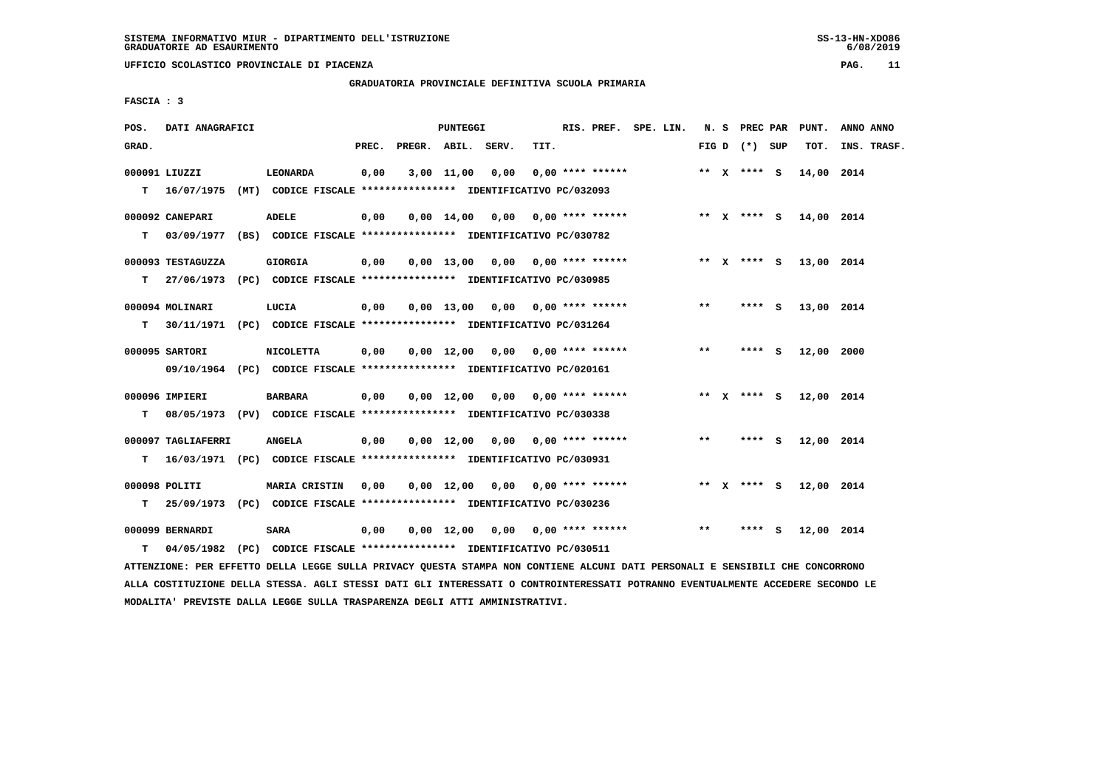**GRADUATORIA PROVINCIALE DEFINITIVA SCUOLA PRIMARIA**

 **FASCIA : 3**

| POS.  | DATI ANAGRAFICI               |                                                                              |       |                    | <b>PUNTEGGI</b>       |                                    |      | RIS. PREF. SPE. LIN. |  |       | N. S PREC PAR     | PUNT.                  | ANNO ANNO   |
|-------|-------------------------------|------------------------------------------------------------------------------|-------|--------------------|-----------------------|------------------------------------|------|----------------------|--|-------|-------------------|------------------------|-------------|
| GRAD. |                               |                                                                              | PREC. | PREGR. ABIL. SERV. |                       |                                    | TIT. |                      |  |       | FIG $D$ $(*)$ SUP | тот.                   | INS. TRASF. |
|       | 000091 LIUZZI                 | LEONARDA                                                                     | 0,00  |                    | $3,00$ $11,00$ $0,00$ |                                    |      | $0.00$ **** ******   |  |       | ** X **** S       | 14,00 2014             |             |
| т     | 16/07/1975                    | (MT) CODICE FISCALE **************** IDENTIFICATIVO PC/032093                |       |                    |                       |                                    |      |                      |  |       |                   |                        |             |
|       | 000092 CANEPARI               | <b>ADELE</b>                                                                 | 0,00  |                    |                       | $0.00$ 14.00 0.00 0.00 **** ****** |      |                      |  |       |                   | ** X **** S 14,00 2014 |             |
| т     |                               | 03/09/1977 (BS) CODICE FISCALE *************** IDENTIFICATIVO PC/030782      |       |                    |                       |                                    |      |                      |  |       |                   |                        |             |
|       | 000093 TESTAGUZZA             | <b>GIORGIA</b>                                                               | 0,00  |                    |                       | $0.00$ 13,00 0.00 0.00 **** ****** |      |                      |  |       | ** x **** S       | 13,00 2014             |             |
| т     |                               | 27/06/1973 (PC) CODICE FISCALE *************** IDENTIFICATIVO PC/030985      |       |                    |                       |                                    |      |                      |  |       |                   |                        |             |
|       | 000094 MOLINARI               | LUCIA                                                                        | 0,00  |                    |                       | $0.00$ 13,00 0.00 0.00 **** ****** |      |                      |  | $* *$ | **** S            | 13,00 2014             |             |
| т     |                               | 30/11/1971 (PC) CODICE FISCALE *************** IDENTIFICATIVO PC/031264      |       |                    |                       |                                    |      |                      |  |       |                   |                        |             |
|       | 000095 SARTORI                | <b>NICOLETTA</b>                                                             | 0,00  |                    |                       | $0,00$ 12,00 0,00 0,00 **** ****** |      |                      |  | $* *$ | $***$ S           | 12,00 2000             |             |
|       |                               | 09/10/1964 (PC) CODICE FISCALE *************** IDENTIFICATIVO PC/020161      |       |                    |                       |                                    |      |                      |  |       |                   |                        |             |
|       | 000096 IMPIERI                | <b>BARBARA</b>                                                               | 0,00  |                    |                       | $0.00$ 12.00 0.00 0.00 **** ****** |      |                      |  |       | ** X **** S       | 12,00 2014             |             |
| т     |                               | 08/05/1973 (PV) CODICE FISCALE *************** IDENTIFICATIVO PC/030338      |       |                    |                       |                                    |      |                      |  |       |                   |                        |             |
|       | 000097 TAGLIAFERRI            | <b>ANGELA</b>                                                                | 0,00  |                    |                       | $0.00$ 12.00 0.00 0.00 **** ****** |      |                      |  | $* *$ | **** S            | 12,00 2014             |             |
| т     |                               | 16/03/1971 (PC) CODICE FISCALE *************** IDENTIFICATIVO PC/030931      |       |                    |                       |                                    |      |                      |  |       |                   |                        |             |
|       | 000098 POLITI                 | MARIA CRISTIN                                                                | 0,00  |                    |                       | $0.00$ 12.00 0.00 0.00 **** ****** |      |                      |  |       | ** $X$ **** S     | 12,00 2014             |             |
| т     |                               | 25/09/1973 (PC) CODICE FISCALE *************** IDENTIFICATIVO PC/030236      |       |                    |                       |                                    |      |                      |  |       |                   |                        |             |
|       |                               |                                                                              |       |                    |                       |                                    |      |                      |  | $**$  | **** S            |                        |             |
| т     | 000099 BERNARDI<br>04/05/1982 | <b>SARA</b><br>(PC) CODICE FISCALE **************** IDENTIFICATIVO PC/030511 | 0,00  |                    |                       | $0.00$ 12.00 0.00 0.00 **** ****** |      |                      |  |       |                   | 12,00 2014             |             |
|       |                               |                                                                              |       |                    |                       |                                    |      |                      |  |       |                   |                        |             |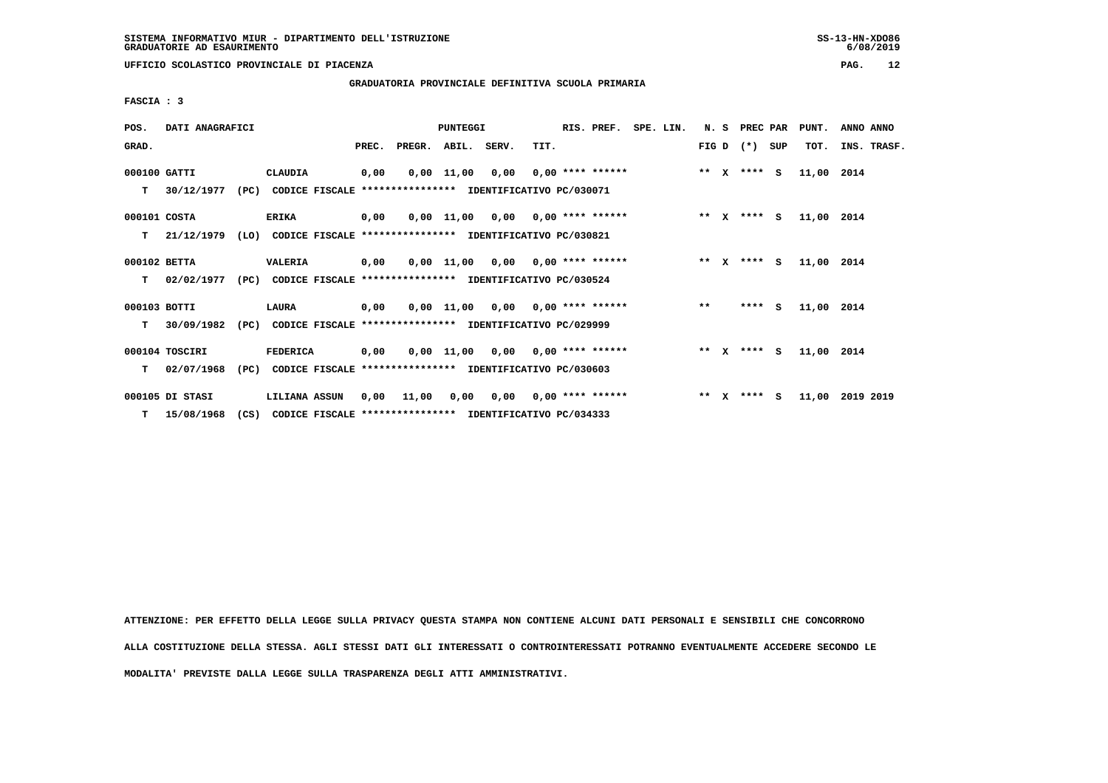$6/08/2019$ 

 **UFFICIO SCOLASTICO PROVINCIALE DI PIACENZA PAG. 12**

 **GRADUATORIA PROVINCIALE DEFINITIVA SCUOLA PRIMARIA**

 **FASCIA : 3**

| POS.         | DATI ANAGRAFICI                                                          |      |                                                               |       |                    | PUNTEGGI |                                        | RIS. PREF. SPE. LIN. |                     |       | N. S PREC PAR |     | PUNT.      | ANNO ANNO       |
|--------------|--------------------------------------------------------------------------|------|---------------------------------------------------------------|-------|--------------------|----------|----------------------------------------|----------------------|---------------------|-------|---------------|-----|------------|-----------------|
| GRAD.        |                                                                          |      |                                                               | PREC. | PREGR. ABIL. SERV. |          | TIT.                                   |                      |                     |       | FIG D $(*)$   | SUP | TOT.       | INS. TRASF.     |
| 000100 GATTI |                                                                          |      | CLAUDIA                                                       | 0,00  |                    |          | $0,00$ 11,00 0,00 0,00 **** ******     |                      | ** X **** S         |       |               |     | 11,00 2014 |                 |
| т            | 30/12/1977                                                               | (PC) | CODICE FISCALE **************** IDENTIFICATIVO PC/030071      |       |                    |          |                                        |                      |                     |       |               |     |            |                 |
| 000101 COSTA |                                                                          |      | <b>ERIKA</b>                                                  | 0,00  |                    |          | $0,00$ 11,00 0,00 0,00 **** ******     |                      | $***$ $X$ $***$ $S$ |       |               |     | 11,00 2014 |                 |
| т            | 21/12/1979 (LO) CODICE FISCALE **************** IDENTIFICATIVO PC/030821 |      |                                                               |       |                    |          |                                        |                      |                     |       |               |     |            |                 |
| 000102 BETTA |                                                                          |      | <b>VALERIA</b>                                                | 0,00  |                    |          | $0.00$ 11.00 0.00 0.00 **** ******     |                      |                     |       | ** x **** s   |     | 11,00 2014 |                 |
| T.           | 02/02/1977                                                               | (PC) | CODICE FISCALE **************** IDENTIFICATIVO PC/030524      |       |                    |          |                                        |                      |                     |       |               |     |            |                 |
| 000103 BOTTI |                                                                          |      | LAURA                                                         | 0,00  |                    |          | $0,00$ 11,00 0,00 0,00 **** ******     |                      |                     | $***$ | $***$ S       |     | 11,00 2014 |                 |
| T.           | 30/09/1982                                                               |      | (PC) CODICE FISCALE **************** IDENTIFICATIVO PC/029999 |       |                    |          |                                        |                      |                     |       |               |     |            |                 |
|              | 000104 TOSCIRI                                                           |      | <b>FEDERICA</b>                                               | 0,00  |                    |          | $0.00$ 11.00 0.00 0.00 **** ******     |                      | $***$ $X$ $***$ $S$ |       |               |     | 11,00 2014 |                 |
| т            | 02/07/1968                                                               | (PC) | CODICE FISCALE **************** IDENTIFICATIVO PC/030603      |       |                    |          |                                        |                      |                     |       |               |     |            |                 |
|              | 000105 DI STASI                                                          |      | LILIANA ASSUN                                                 | 0,00  | 11,00              |          | $0,00$ $0,00$ $0,00$ $***$ **** ****** |                      |                     |       | ** x **** S   |     |            | 11,00 2019 2019 |
|              | $T = 15/08/1968$                                                         | (CS) | CODICE FISCALE **************** IDENTIFICATIVO PC/034333      |       |                    |          |                                        |                      |                     |       |               |     |            |                 |